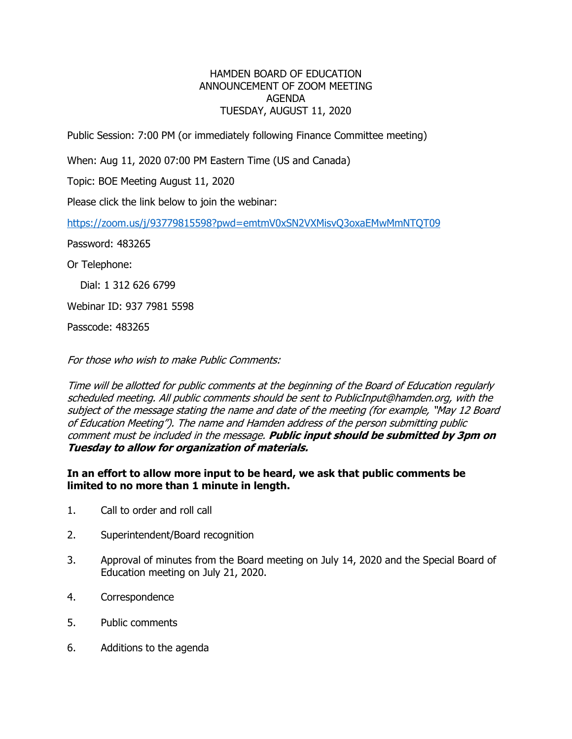## HAMDEN BOARD OF EDUCATION ANNOUNCEMENT OF ZOOM MEETING AGENDA TUESDAY, AUGUST 11, 2020

Public Session: 7:00 PM (or immediately following Finance Committee meeting)

When: Aug 11, 2020 07:00 PM Eastern Time (US and Canada)

Topic: BOE Meeting August 11, 2020

Please click the link below to join the webinar:

<https://zoom.us/j/93779815598?pwd=emtmV0xSN2VXMisvQ3oxaEMwMmNTQT09>

Password: 483265

Or Telephone:

Dial: 1 312 626 6799

Webinar ID: 937 7981 5598

Passcode: 483265

For those who wish to make Public Comments:

Time will be allotted for public comments at the beginning of the Board of Education regularly scheduled meeting. All public comments should be sent to PublicInput@hamden.org, with the subject of the message stating the name and date of the meeting (for example, "May 12 Board of Education Meeting"). The name and Hamden address of the person submitting public comment must be included in the message. **Public input should be submitted by 3pm on Tuesday to allow for organization of materials.**

## **In an effort to allow more input to be heard, we ask that public comments be limited to no more than 1 minute in length.**

- 1. Call to order and roll call
- 2. Superintendent/Board recognition
- 3. Approval of minutes from the Board meeting on July 14, 2020 and the Special Board of Education meeting on July 21, 2020.
- 4. Correspondence
- 5. Public comments
- 6. Additions to the agenda